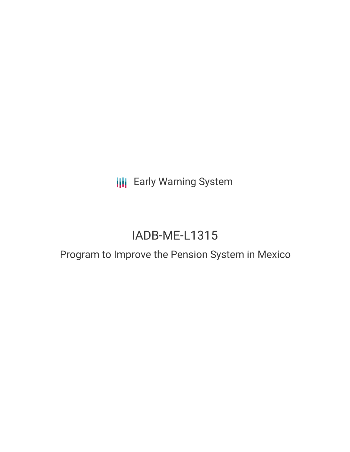**III** Early Warning System

# IADB-ME-L1315

## Program to Improve the Pension System in Mexico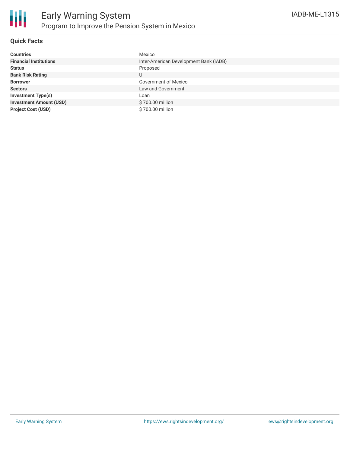

### **Quick Facts**

| <b>Countries</b>               | Mexico                                 |
|--------------------------------|----------------------------------------|
| <b>Financial Institutions</b>  | Inter-American Development Bank (IADB) |
| <b>Status</b>                  | Proposed                               |
| <b>Bank Risk Rating</b>        | U                                      |
| <b>Borrower</b>                | <b>Government of Mexico</b>            |
| <b>Sectors</b>                 | Law and Government                     |
| <b>Investment Type(s)</b>      | Loan                                   |
| <b>Investment Amount (USD)</b> | \$700.00 million                       |
| <b>Project Cost (USD)</b>      | \$700.00 million                       |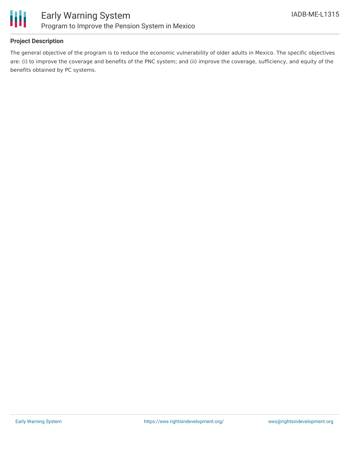

### **Project Description**

The general objective of the program is to reduce the economic vulnerability of older adults in Mexico. The specific objectives are: (i) to improve the coverage and benefits of the PNC system; and (ii) improve the coverage, sufficiency, and equity of the benefits obtained by PC systems.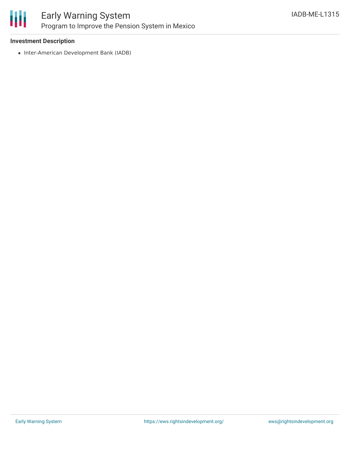

### Early Warning System Program to Improve the Pension System in Mexico

### **Investment Description**

• Inter-American Development Bank (IADB)